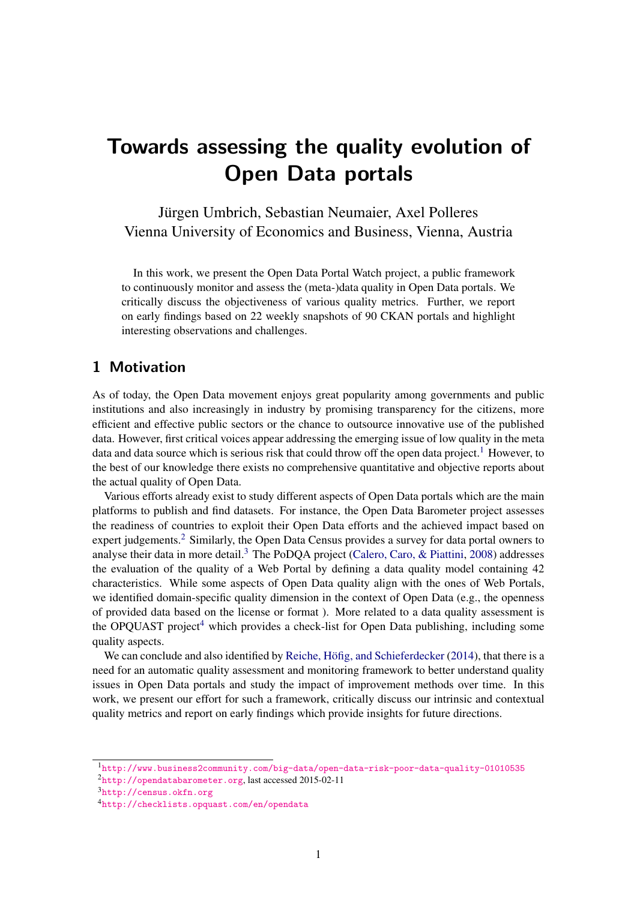# Towards assessing the quality evolution of Open Data portals

Jürgen Umbrich, Sebastian Neumaier, Axel Polleres Vienna University of Economics and Business, Vienna, Austria

In this work, we present the Open Data Portal Watch project, a public framework to continuously monitor and assess the (meta-)data quality in Open Data portals. We critically discuss the objectiveness of various quality metrics. Further, we report on early findings based on 22 weekly snapshots of 90 CKAN portals and highlight interesting observations and challenges.

## 1 Motivation

As of today, the Open Data movement enjoys great popularity among governments and public institutions and also increasingly in industry by promising transparency for the citizens, more efficient and effective public sectors or the chance to outsource innovative use of the published data. However, first critical voices appear addressing the emerging issue of low quality in the meta data and data source which is serious risk that could throw off the open data project.<sup>[1](#page-0-0)</sup> However, to the best of our knowledge there exists no comprehensive quantitative and objective reports about the actual quality of Open Data.

Various efforts already exist to study different aspects of Open Data portals which are the main platforms to publish and find datasets. For instance, the Open Data Barometer project assesses the readiness of countries to exploit their Open Data efforts and the achieved impact based on expert judgements.<sup>[2](#page-0-1)</sup> Similarly, the Open Data Census provides a survey for data portal owners to analyse their data in more detail.<sup>[3](#page-0-2)</sup> The PoDQA project (Calero, Caro,  $\&$  Piattini, [2008\)](#page-4-0) addresses the evaluation of the quality of a Web Portal by defining a data quality model containing 42 characteristics. While some aspects of Open Data quality align with the ones of Web Portals, we identified domain-specific quality dimension in the context of Open Data (e.g., the openness of provided data based on the license or format ). More related to a data quality assessment is the OPQUAST project<sup>[4](#page-0-3)</sup> which provides a check-list for Open Data publishing, including some quality aspects.

We can conclude and also identified by Reiche, Höfig, and Schieferdecker  $(2014)$ , that there is a need for an automatic quality assessment and monitoring framework to better understand quality issues in Open Data portals and study the impact of improvement methods over time. In this work, we present our effort for such a framework, critically discuss our intrinsic and contextual quality metrics and report on early findings which provide insights for future directions.

<span id="page-0-0"></span><sup>1</sup><http://www.business2community.com/big-data/open-data-risk-poor-data-quality-01010535>

<span id="page-0-1"></span><sup>2</sup><http://opendatabarometer.org>, last accessed 2015-02-11

<span id="page-0-2"></span><sup>3</sup><http://census.okfn.org>

<span id="page-0-3"></span><sup>4</sup><http://checklists.opquast.com/en/opendata>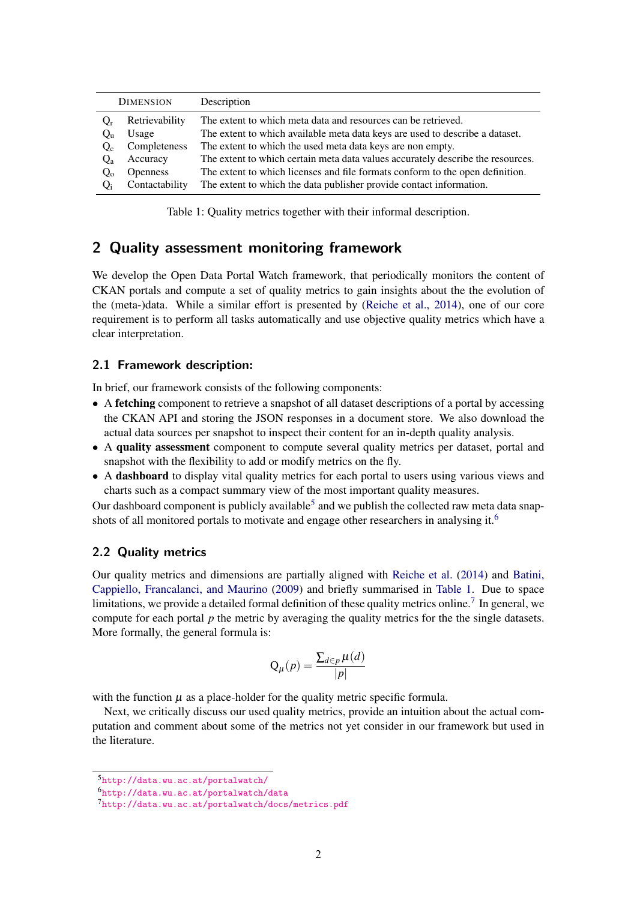<span id="page-1-2"></span>

| <b>DIMENSION</b> |                 | Description                                                                     |
|------------------|-----------------|---------------------------------------------------------------------------------|
| $O_r$            | Retrievability  | The extent to which meta data and resources can be retrieved.                   |
| Q <sub>II</sub>  | Usage           | The extent to which available meta data keys are used to describe a dataset.    |
| $Q_c$            | Completeness    | The extent to which the used meta data keys are non empty.                      |
| $Q_{a}$          | Accuracy        | The extent to which certain meta data values accurately describe the resources. |
| $Q_0$            | <b>Openness</b> | The extent to which licenses and file formats conform to the open definition.   |
| $O_i$            | Contactability  | The extent to which the data publisher provide contact information.             |

Table 1: Quality metrics together with their informal description.

## 2 Quality assessment monitoring framework

We develop the Open Data Portal Watch framework, that periodically monitors the content of CKAN portals and compute a set of quality metrics to gain insights about the the evolution of the (meta-)data. While a similar effort is presented by [\(Reiche et al.,](#page-4-1) [2014\)](#page-4-1), one of our core requirement is to perform all tasks automatically and use objective quality metrics which have a clear interpretation.

### 2.1 Framework description:

In brief, our framework consists of the following components:

- A **fetching** component to retrieve a snapshot of all dataset descriptions of a portal by accessing the CKAN API and storing the JSON responses in a document store. We also download the actual data sources per snapshot to inspect their content for an in-depth quality analysis.
- A quality assessment component to compute several quality metrics per dataset, portal and snapshot with the flexibility to add or modify metrics on the fly.
- A dashboard to display vital quality metrics for each portal to users using various views and charts such as a compact summary view of the most important quality measures.

Our dashboard component is publicly available<sup>[5](#page-1-0)</sup> and we publish the collected raw meta data snap-shots of all monitored portals to motivate and engage other researchers in analysing it.<sup>[6](#page-1-1)</sup>

#### 2.2 Quality metrics

Our quality metrics and dimensions are partially aligned with [Reiche et al.](#page-4-1) [\(2014\)](#page-4-1) and [Batini,](#page-4-2) [Cappiello, Francalanci, and Maurino](#page-4-2) [\(2009\)](#page-4-2) and briefly summarised in [Table 1.](#page-1-2) Due to space limitations, we provide a detailed formal definition of these quality metrics online.<sup>[7](#page-1-3)</sup> In general, we compute for each portal *p* the metric by averaging the quality metrics for the the single datasets. More formally, the general formula is:

$$
Q_{\mu}(p) = \frac{\sum_{d \in p} \mu(d)}{|p|}
$$

with the function  $\mu$  as a place-holder for the quality metric specific formula.

Next, we critically discuss our used quality metrics, provide an intuition about the actual computation and comment about some of the metrics not yet consider in our framework but used in the literature.

<span id="page-1-0"></span><sup>5</sup><http://data.wu.ac.at/portalwatch/>

<span id="page-1-1"></span><sup>6</sup><http://data.wu.ac.at/portalwatch/data>

<span id="page-1-3"></span><sup>7</sup><http://data.wu.ac.at/portalwatch/docs/metrics.pdf>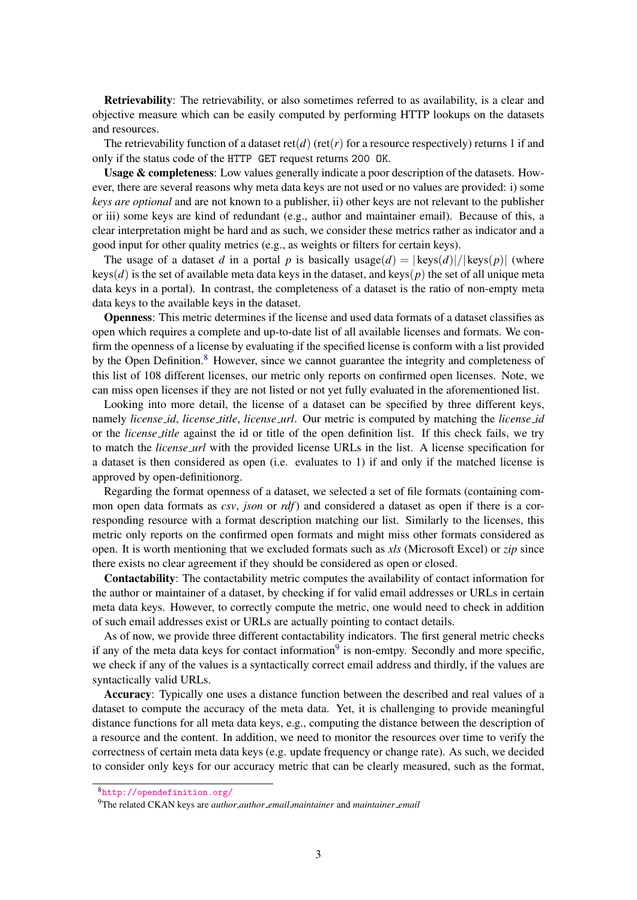Retrievability: The retrievability, or also sometimes referred to as availability, is a clear and objective measure which can be easily computed by performing HTTP lookups on the datasets and resources.

The retrievability function of a dataset ret(*d*) (ret(*r*) for a resource respectively) returns 1 if and only if the status code of the HTTP GET request returns 200 OK.

Usage & completeness: Low values generally indicate a poor description of the datasets. However, there are several reasons why meta data keys are not used or no values are provided: i) some *keys are optional* and are not known to a publisher, ii) other keys are not relevant to the publisher or iii) some keys are kind of redundant (e.g., author and maintainer email). Because of this, a clear interpretation might be hard and as such, we consider these metrics rather as indicator and a good input for other quality metrics (e.g., as weights or filters for certain keys).

The usage of a dataset *d* in a portal *p* is basically usage(*d*) =  $|\text{keys}(d)|/|\text{keys}(p)|$  (where  $keys(d)$  is the set of available meta data keys in the dataset, and keys( $p$ ) the set of all unique meta data keys in a portal). In contrast, the completeness of a dataset is the ratio of non-empty meta data keys to the available keys in the dataset.

Openness: This metric determines if the license and used data formats of a dataset classifies as open which requires a complete and up-to-date list of all available licenses and formats. We confirm the openness of a license by evaluating if the specified license is conform with a list provided by the Open Definition.<sup>[8](#page-2-0)</sup> However, since we cannot guarantee the integrity and completeness of this list of 108 different licenses, our metric only reports on confirmed open licenses. Note, we can miss open licenses if they are not listed or not yet fully evaluated in the aforementioned list.

Looking into more detail, the license of a dataset can be specified by three different keys, namely *license id*, *license title*, *license url*. Our metric is computed by matching the *license id* or the *license title* against the id or title of the open definition list. If this check fails, we try to match the *license url* with the provided license URLs in the list. A license specification for a dataset is then considered as open (i.e. evaluates to 1) if and only if the matched license is approved by open-definitionorg.

Regarding the format openness of a dataset, we selected a set of file formats (containing common open data formats as *csv*, *json* or *rdf*) and considered a dataset as open if there is a corresponding resource with a format description matching our list. Similarly to the licenses, this metric only reports on the confirmed open formats and might miss other formats considered as open. It is worth mentioning that we excluded formats such as *xls* (Microsoft Excel) or *zip* since there exists no clear agreement if they should be considered as open or closed.

Contactability: The contactability metric computes the availability of contact information for the author or maintainer of a dataset, by checking if for valid email addresses or URLs in certain meta data keys. However, to correctly compute the metric, one would need to check in addition of such email addresses exist or URLs are actually pointing to contact details.

As of now, we provide three different contactability indicators. The first general metric checks if any of the meta data keys for contact information<sup>[9](#page-2-1)</sup> is non-emtpy. Secondly and more specific, we check if any of the values is a syntactically correct email address and thirdly, if the values are syntactically valid URLs.

Accuracy: Typically one uses a distance function between the described and real values of a dataset to compute the accuracy of the meta data. Yet, it is challenging to provide meaningful distance functions for all meta data keys, e.g., computing the distance between the description of a resource and the content. In addition, we need to monitor the resources over time to verify the correctness of certain meta data keys (e.g. update frequency or change rate). As such, we decided to consider only keys for our accuracy metric that can be clearly measured, such as the format,

<span id="page-2-0"></span><sup>8</sup><http://opendefinition.org/>

<span id="page-2-1"></span><sup>9</sup>The related CKAN keys are *author*,*author email*,*maintainer* and *maintainer email*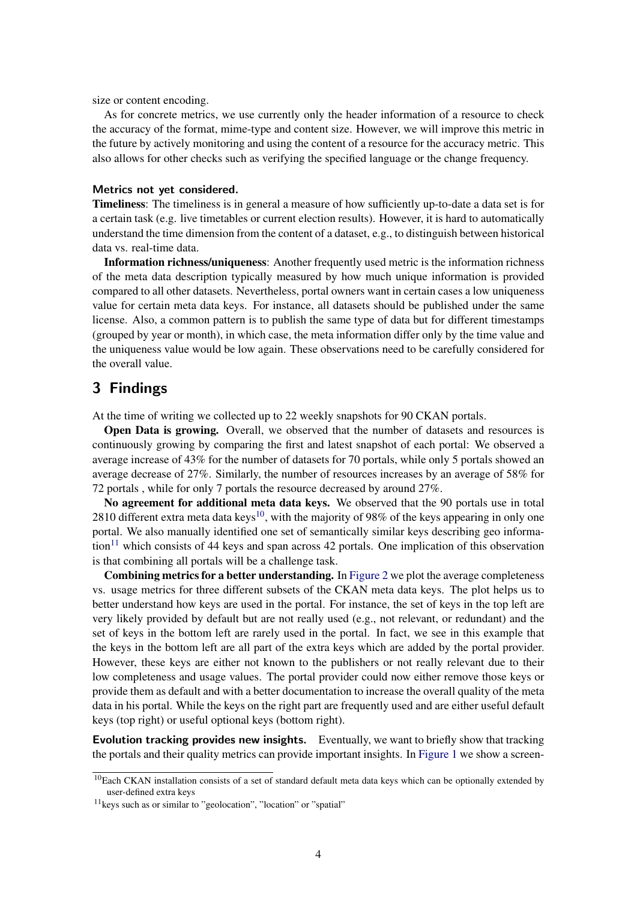size or content encoding.

As for concrete metrics, we use currently only the header information of a resource to check the accuracy of the format, mime-type and content size. However, we will improve this metric in the future by actively monitoring and using the content of a resource for the accuracy metric. This also allows for other checks such as verifying the specified language or the change frequency.

#### Metrics not yet considered.

Timeliness: The timeliness is in general a measure of how sufficiently up-to-date a data set is for a certain task (e.g. live timetables or current election results). However, it is hard to automatically understand the time dimension from the content of a dataset, e.g., to distinguish between historical data vs. real-time data.

Information richness/uniqueness: Another frequently used metric is the information richness of the meta data description typically measured by how much unique information is provided compared to all other datasets. Nevertheless, portal owners want in certain cases a low uniqueness value for certain meta data keys. For instance, all datasets should be published under the same license. Also, a common pattern is to publish the same type of data but for different timestamps (grouped by year or month), in which case, the meta information differ only by the time value and the uniqueness value would be low again. These observations need to be carefully considered for the overall value.

## 3 Findings

At the time of writing we collected up to 22 weekly snapshots for 90 CKAN portals.

**Open Data is growing.** Overall, we observed that the number of datasets and resources is continuously growing by comparing the first and latest snapshot of each portal: We observed a average increase of 43% for the number of datasets for 70 portals, while only 5 portals showed an average decrease of 27%. Similarly, the number of resources increases by an average of 58% for 72 portals , while for only 7 portals the resource decreased by around 27%.

No agreement for additional meta data keys. We observed that the 90 portals use in total 28[10](#page-3-0) different extra meta data keys<sup>10</sup>, with the majority of 98% of the keys appearing in only one portal. We also manually identified one set of semantically similar keys describing geo informa- $\text{tion}^{11}$  $\text{tion}^{11}$  $\text{tion}^{11}$  which consists of 44 keys and span across 42 portals. One implication of this observation is that combining all portals will be a challenge task.

Combining metrics for a better understanding. In [Figure 2](#page-4-3) we plot the average completeness vs. usage metrics for three different subsets of the CKAN meta data keys. The plot helps us to better understand how keys are used in the portal. For instance, the set of keys in the top left are very likely provided by default but are not really used (e.g., not relevant, or redundant) and the set of keys in the bottom left are rarely used in the portal. In fact, we see in this example that the keys in the bottom left are all part of the extra keys which are added by the portal provider. However, these keys are either not known to the publishers or not really relevant due to their low completeness and usage values. The portal provider could now either remove those keys or provide them as default and with a better documentation to increase the overall quality of the meta data in his portal. While the keys on the right part are frequently used and are either useful default keys (top right) or useful optional keys (bottom right).

Evolution tracking provides new insights. Eventually, we want to briefly show that tracking the portals and their quality metrics can provide important insights. In [Figure 1](#page-4-3) we show a screen-

<span id="page-3-0"></span> $10$ Each CKAN installation consists of a set of standard default meta data keys which can be optionally extended by user-defined extra keys

<span id="page-3-1"></span><sup>11</sup>keys such as or similar to "geolocation", "location" or "spatial"